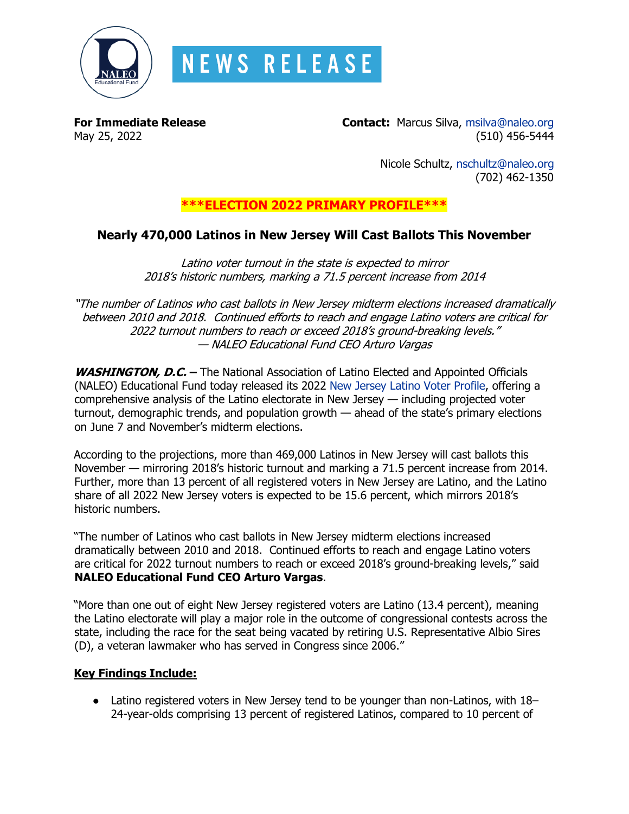

# **NEWS RELEASE**

**For Immediate Release Contact:** Marcus Silva, [msilva@naleo.org](mailto:msilva@naleo.org) May 25, 2022 (510) 456-5444

> Nicole Schultz, [nschultz@naleo.org](mailto:nschultz@naleo.org) (702) 462-1350

## **\*\*\*ELECTION 2022 PRIMARY PROFILE\*\*\***

## **Nearly 470,000 Latinos in New Jersey Will Cast Ballots This November**

Latino voter turnout in the state is expected to mirror 2018's historic numbers, marking a 71.5 percent increase from 2014

"The number of Latinos who cast ballots in New Jersey midterm elections increased dramatically between 2010 and 2018. Continued efforts to reach and engage Latino voters are critical for 2022 turnout numbers to reach or exceed 2018's ground-breaking levels." — NALEO Educational Fund CEO Arturo Vargas

**WASHINGTON, D.C. –** The National Association of Latino Elected and Appointed Officials (NALEO) Educational Fund today released its 2022 [New Jersey Latino Voter Profile,](https://bit.ly/NJ22Profile) offering a comprehensive analysis of the Latino electorate in New Jersey — including projected voter turnout, demographic trends, and population growth — ahead of the state's primary elections on June 7 and November's midterm elections.

According to the projections, more than 469,000 Latinos in New Jersey will cast ballots this November — mirroring 2018's historic turnout and marking a 71.5 percent increase from 2014. Further, more than 13 percent of all registered voters in New Jersey are Latino, and the Latino share of all 2022 New Jersey voters is expected to be 15.6 percent, which mirrors 2018's historic numbers.

"The number of Latinos who cast ballots in New Jersey midterm elections increased dramatically between 2010 and 2018. Continued efforts to reach and engage Latino voters are critical for 2022 turnout numbers to reach or exceed 2018's ground-breaking levels," said **NALEO Educational Fund CEO Arturo Vargas**.

"More than one out of eight New Jersey registered voters are Latino (13.4 percent), meaning the Latino electorate will play a major role in the outcome of congressional contests across the state, including the race for the seat being vacated by retiring U.S. Representative Albio Sires (D), a veteran lawmaker who has served in Congress since 2006."

#### **Key Findings Include:**

• Latino registered voters in New Jersey tend to be younger than non-Latinos, with 18– 24-year-olds comprising 13 percent of registered Latinos, compared to 10 percent of